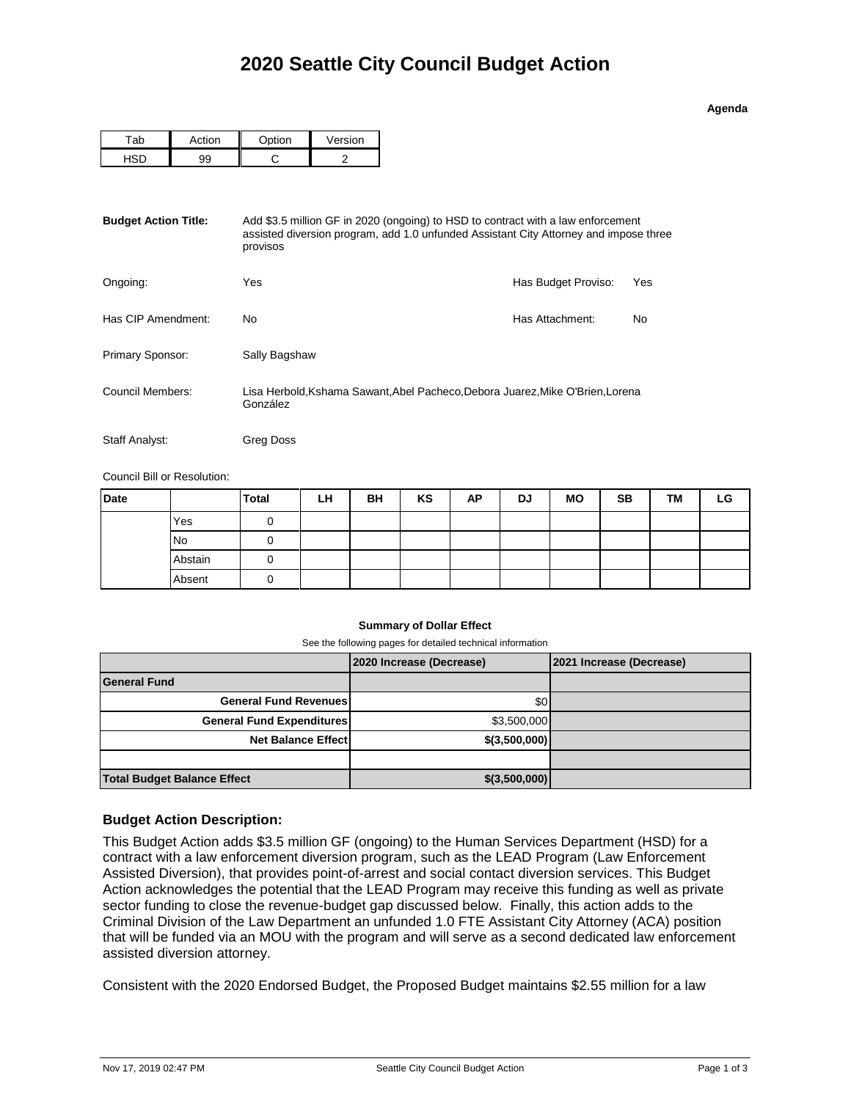**Agenda**

| $\sim$ | $\sim$ tion | /ersion |  |  |
|--------|-------------|---------|--|--|
| ۵C     |             |         |  |  |

| <b>Budget Action Title:</b> | Add \$3.5 million GF in 2020 (ongoing) to HSD to contract with a law enforcement<br>assisted diversion program, add 1.0 unfunded Assistant City Attorney and impose three<br>provisos |                     |     |  |  |  |
|-----------------------------|---------------------------------------------------------------------------------------------------------------------------------------------------------------------------------------|---------------------|-----|--|--|--|
| Ongoing:                    | Yes                                                                                                                                                                                   | Has Budget Proviso: | Yes |  |  |  |
| Has CIP Amendment:          | No                                                                                                                                                                                    | Has Attachment:     | No  |  |  |  |
| Primary Sponsor:            | Sally Bagshaw                                                                                                                                                                         |                     |     |  |  |  |
| Council Members:            | Lisa Herbold, Kshama Sawant, Abel Pacheco, Debora Juarez, Mike O'Brien, Lorena<br>González                                                                                            |                     |     |  |  |  |
| Staff Analyst:              | Greg Doss                                                                                                                                                                             |                     |     |  |  |  |

Council Bill or Resolution:

| <b>Date</b> |           | <b>Total</b> | LH | BH | KS | AP | DJ | <b>MO</b> | <b>SB</b> | TM | LG |
|-------------|-----------|--------------|----|----|----|----|----|-----------|-----------|----|----|
|             | Yes       | O            |    |    |    |    |    |           |           |    |    |
|             | <b>No</b> | υ            |    |    |    |    |    |           |           |    |    |
|             | Abstain   | O            |    |    |    |    |    |           |           |    |    |
|             | Absent    | O            |    |    |    |    |    |           |           |    |    |

## **Summary of Dollar Effect**

See the following pages for detailed technical information

|                                    | 2020 Increase (Decrease) | 2021 Increase (Decrease) |
|------------------------------------|--------------------------|--------------------------|
| <b>General Fund</b>                |                          |                          |
| <b>General Fund Revenues</b>       | \$0 <sub>1</sub>         |                          |
| <b>General Fund Expenditures</b>   | \$3,500,000              |                          |
| <b>Net Balance Effectl</b>         | \$(3,500,000)            |                          |
|                                    |                          |                          |
| <b>Total Budget Balance Effect</b> | \$(3,500,000)            |                          |

## **Budget Action Description:**

This Budget Action adds \$3.5 million GF (ongoing) to the Human Services Department (HSD) for a contract with a law enforcement diversion program, such as the LEAD Program (Law Enforcement Assisted Diversion), that provides point-of-arrest and social contact diversion services. This Budget Action acknowledges the potential that the LEAD Program may receive this funding as well as private sector funding to close the revenue-budget gap discussed below. Finally, this action adds to the Criminal Division of the Law Department an unfunded 1.0 FTE Assistant City Attorney (ACA) position that will be funded via an MOU with the program and will serve as a second dedicated law enforcement assisted diversion attorney.

Consistent with the 2020 Endorsed Budget, the Proposed Budget maintains \$2.55 million for a law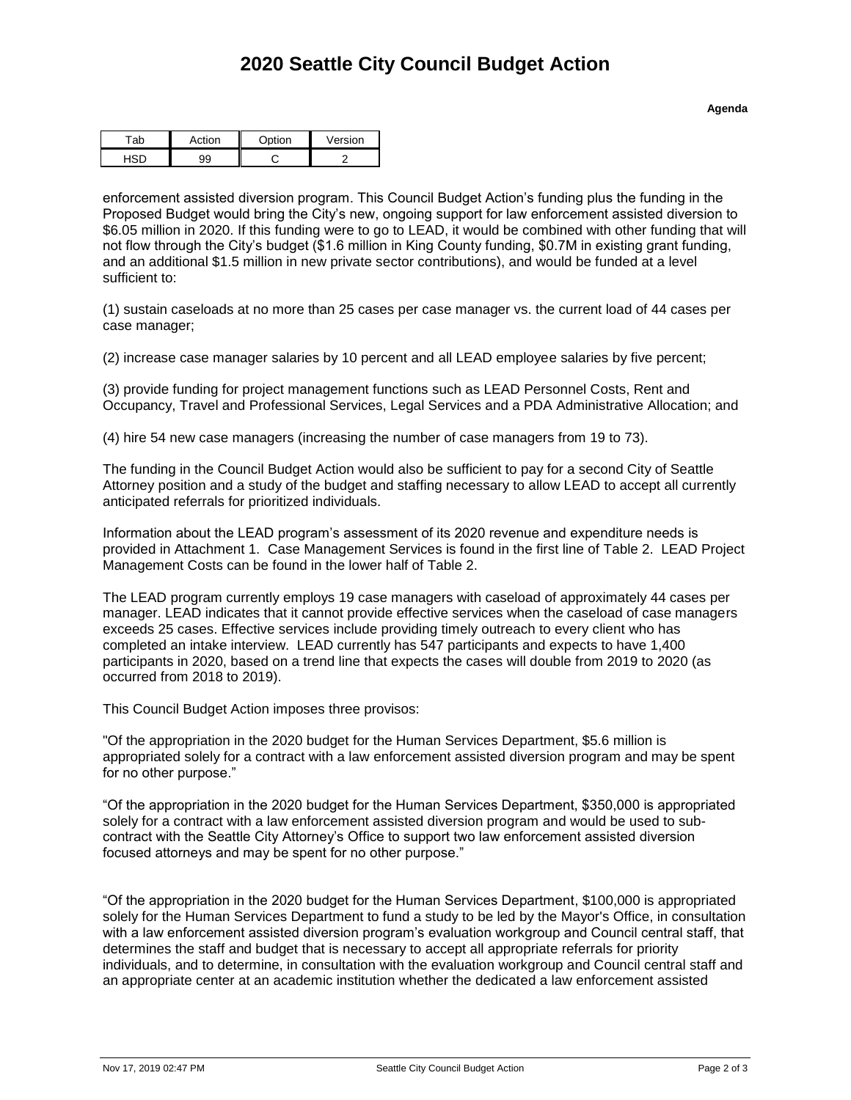**Agenda**

| へん | $-$ | $\sim$ tion | ersion |  |  |
|----|-----|-------------|--------|--|--|
|    |     |             |        |  |  |

enforcement assisted diversion program. This Council Budget Action's funding plus the funding in the Proposed Budget would bring the City's new, ongoing support for law enforcement assisted diversion to \$6.05 million in 2020. If this funding were to go to LEAD, it would be combined with other funding that will not flow through the City's budget (\$1.6 million in King County funding, \$0.7M in existing grant funding, and an additional \$1.5 million in new private sector contributions), and would be funded at a level sufficient to:

(1) sustain caseloads at no more than 25 cases per case manager vs. the current load of 44 cases per case manager;

(2) increase case manager salaries by 10 percent and all LEAD employee salaries by five percent;

(3) provide funding for project management functions such as LEAD Personnel Costs, Rent and Occupancy, Travel and Professional Services, Legal Services and a PDA Administrative Allocation; and

(4) hire 54 new case managers (increasing the number of case managers from 19 to 73).

The funding in the Council Budget Action would also be sufficient to pay for a second City of Seattle Attorney position and a study of the budget and staffing necessary to allow LEAD to accept all currently anticipated referrals for prioritized individuals.

Information about the LEAD program's assessment of its 2020 revenue and expenditure needs is provided in Attachment 1. Case Management Services is found in the first line of Table 2. LEAD Project Management Costs can be found in the lower half of Table 2.

The LEAD program currently employs 19 case managers with caseload of approximately 44 cases per manager. LEAD indicates that it cannot provide effective services when the caseload of case managers exceeds 25 cases. Effective services include providing timely outreach to every client who has completed an intake interview. LEAD currently has 547 participants and expects to have 1,400 participants in 2020, based on a trend line that expects the cases will double from 2019 to 2020 (as occurred from 2018 to 2019).

This Council Budget Action imposes three provisos:

"Of the appropriation in the 2020 budget for the Human Services Department, \$5.6 million is appropriated solely for a contract with a law enforcement assisted diversion program and may be spent for no other purpose."

"Of the appropriation in the 2020 budget for the Human Services Department, \$350,000 is appropriated solely for a contract with a law enforcement assisted diversion program and would be used to subcontract with the Seattle City Attorney's Office to support two law enforcement assisted diversion focused attorneys and may be spent for no other purpose."

"Of the appropriation in the 2020 budget for the Human Services Department, \$100,000 is appropriated solely for the Human Services Department to fund a study to be led by the Mayor's Office, in consultation with a law enforcement assisted diversion program's evaluation workgroup and Council central staff, that determines the staff and budget that is necessary to accept all appropriate referrals for priority individuals, and to determine, in consultation with the evaluation workgroup and Council central staff and an appropriate center at an academic institution whether the dedicated a law enforcement assisted